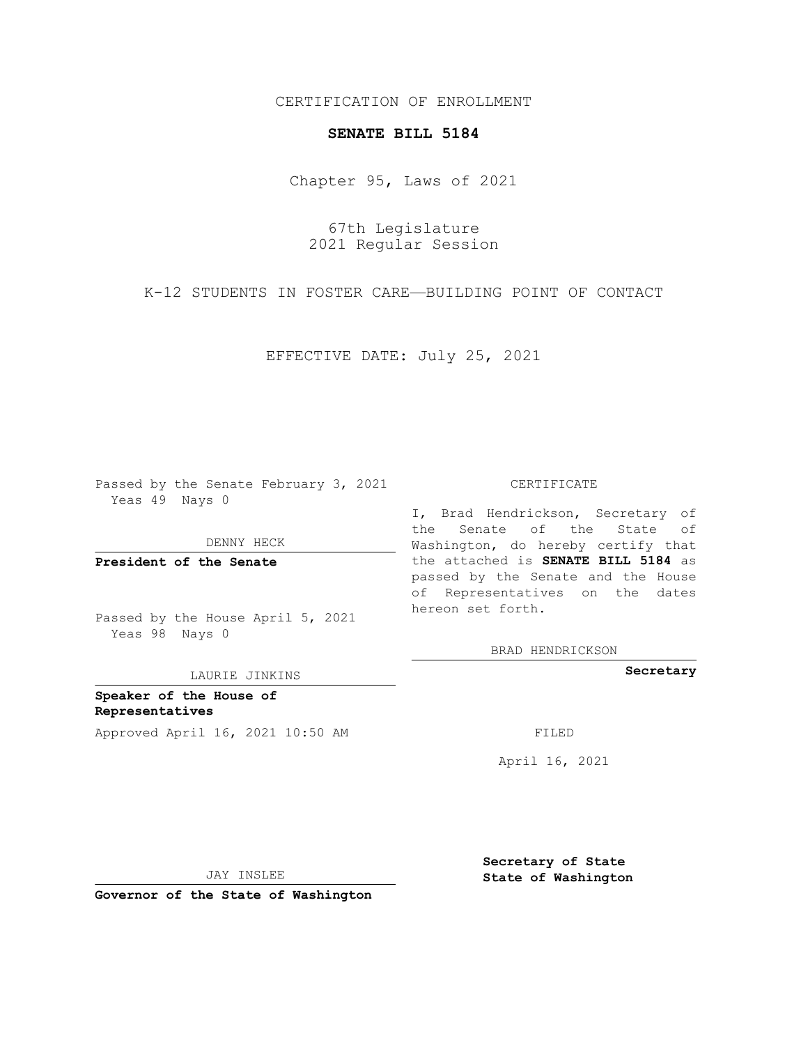CERTIFICATION OF ENROLLMENT

## **SENATE BILL 5184**

Chapter 95, Laws of 2021

67th Legislature 2021 Regular Session

K-12 STUDENTS IN FOSTER CARE—BUILDING POINT OF CONTACT

EFFECTIVE DATE: July 25, 2021

Passed by the Senate February 3, 2021 Yeas 49 Nays 0

DENNY HECK

**President of the Senate**

Passed by the House April 5, 2021 Yeas 98 Nays 0

LAURIE JINKINS

**Speaker of the House of Representatives** Approved April 16, 2021 10:50 AM FILED

CERTIFICATE

I, Brad Hendrickson, Secretary of the Senate of the State of Washington, do hereby certify that the attached is **SENATE BILL 5184** as passed by the Senate and the House of Representatives on the dates hereon set forth.

BRAD HENDRICKSON

**Secretary**

April 16, 2021

JAY INSLEE

**Governor of the State of Washington**

**Secretary of State State of Washington**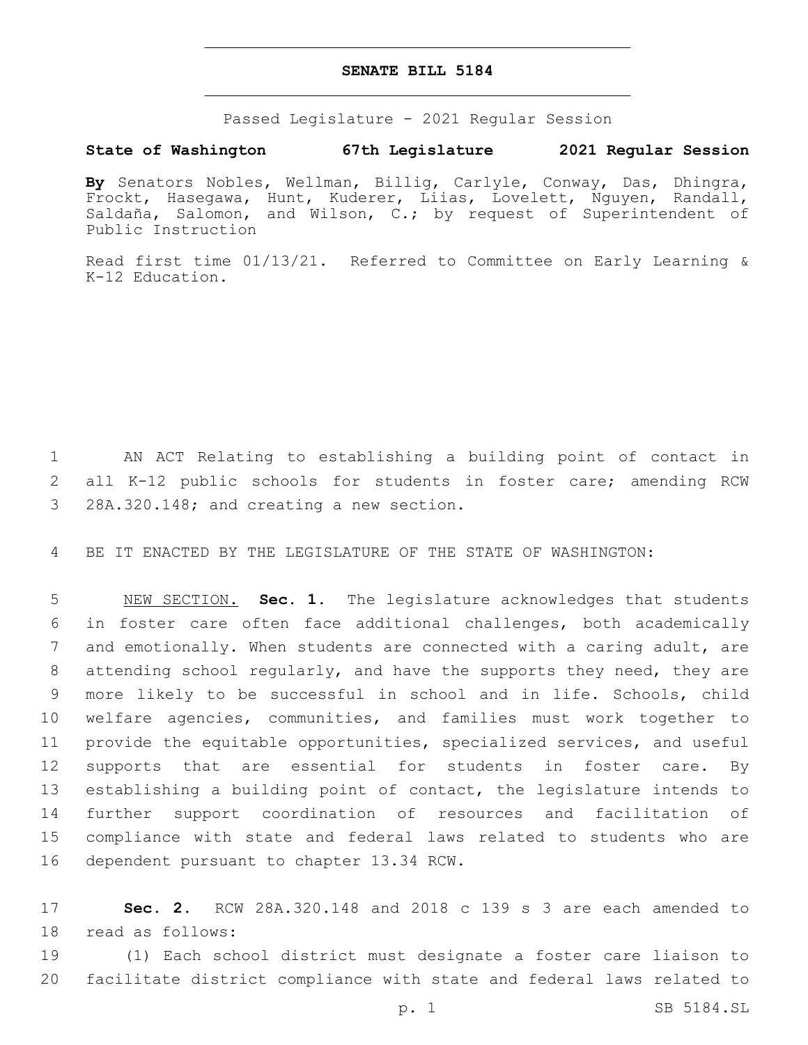## **SENATE BILL 5184**

Passed Legislature - 2021 Regular Session

## **State of Washington 67th Legislature 2021 Regular Session**

**By** Senators Nobles, Wellman, Billig, Carlyle, Conway, Das, Dhingra, Frockt, Hasegawa, Hunt, Kuderer, Liias, Lovelett, Nguyen, Randall, Saldaña, Salomon, and Wilson, C.; by request of Superintendent of Public Instruction

Read first time 01/13/21. Referred to Committee on Early Learning & K-12 Education.

1 AN ACT Relating to establishing a building point of contact in 2 all K-12 public schools for students in foster care; amending RCW 3 28A.320.148; and creating a new section.

4 BE IT ENACTED BY THE LEGISLATURE OF THE STATE OF WASHINGTON:

 NEW SECTION. **Sec. 1.** The legislature acknowledges that students in foster care often face additional challenges, both academically and emotionally. When students are connected with a caring adult, are attending school regularly, and have the supports they need, they are more likely to be successful in school and in life. Schools, child welfare agencies, communities, and families must work together to provide the equitable opportunities, specialized services, and useful 12 supports that are essential for students in foster care. By establishing a building point of contact, the legislature intends to further support coordination of resources and facilitation of compliance with state and federal laws related to students who are dependent pursuant to chapter 13.34 RCW.

17 **Sec. 2.** RCW 28A.320.148 and 2018 c 139 s 3 are each amended to 18 read as follows:

19 (1) Each school district must designate a foster care liaison to 20 facilitate district compliance with state and federal laws related to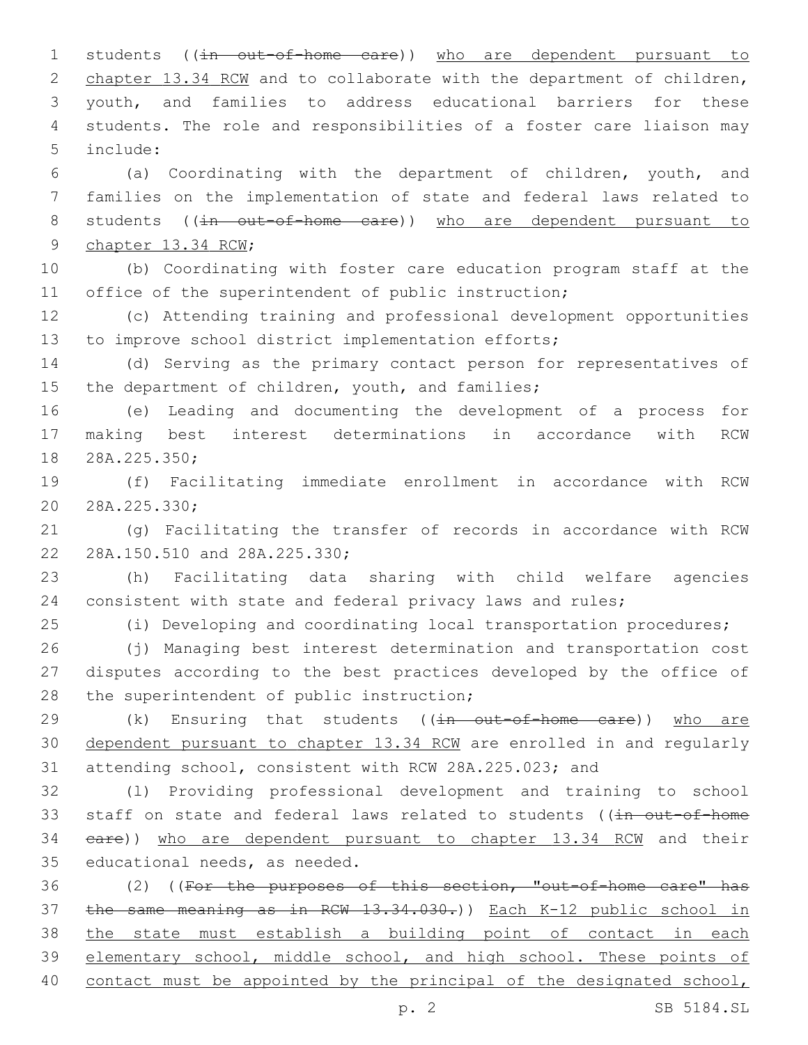1 students ((in out-of-home care)) who are dependent pursuant to 2 chapter 13.34 RCW and to collaborate with the department of children, youth, and families to address educational barriers for these students. The role and responsibilities of a foster care liaison may include:5

 (a) Coordinating with the department of children, youth, and families on the implementation of state and federal laws related to 8 students ((in out-of-home care)) who are dependent pursuant to 9 chapter 13.34 RCW;

 (b) Coordinating with foster care education program staff at the 11 office of the superintendent of public instruction;

 (c) Attending training and professional development opportunities to improve school district implementation efforts;

 (d) Serving as the primary contact person for representatives of 15 the department of children, youth, and families;

 (e) Leading and documenting the development of a process for making best interest determinations in accordance with RCW 18 28A.225.350;

 (f) Facilitating immediate enrollment in accordance with RCW 20 28A.225.330;

 (g) Facilitating the transfer of records in accordance with RCW 22 28A.150.510 and 28A.225.330;

 (h) Facilitating data sharing with child welfare agencies consistent with state and federal privacy laws and rules;

(i) Developing and coordinating local transportation procedures;

 (j) Managing best interest determination and transportation cost disputes according to the best practices developed by the office of 28 the superintendent of public instruction;

29 (k) Ensuring that students ((in out-of-home care)) who are dependent pursuant to chapter 13.34 RCW are enrolled in and regularly attending school, consistent with RCW 28A.225.023; and

 (l) Providing professional development and training to school 33 staff on state and federal laws related to students ((in out-of-home care)) who are dependent pursuant to chapter 13.34 RCW and their 35 educational needs, as needed.

 (2) ((For the purposes of this section, "out-of-home care" has the same meaning as in RCW 13.34.030.)) Each K-12 public school in the state must establish a building point of contact in each elementary school, middle school, and high school. These points of contact must be appointed by the principal of the designated school,